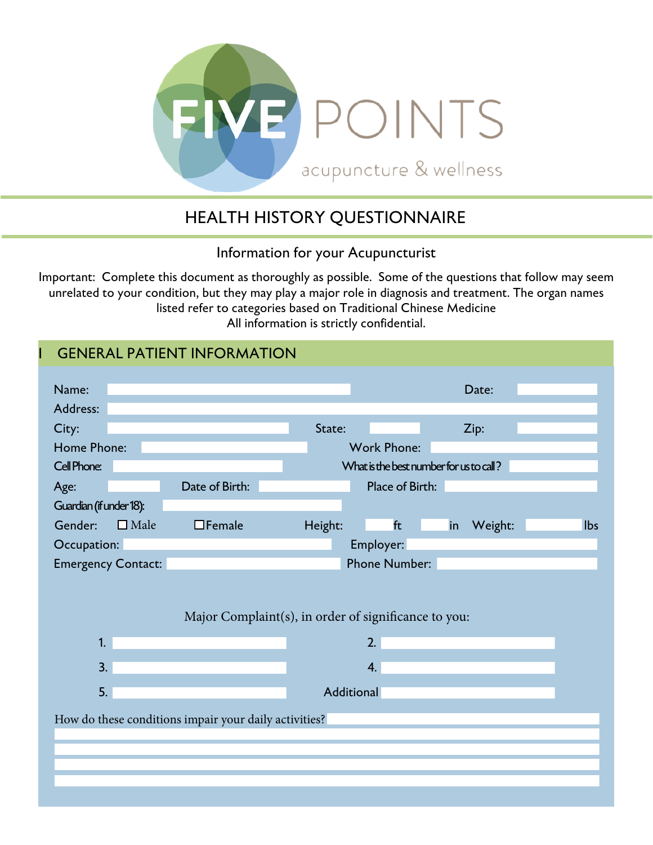

### HEALTH HISTORY QUESTIONNAIRE

Information for your Acupuncturist

Important: Complete this document as thoroughly as possible. Some of the questions that follow may seem unrelated to your condition, but they may play a major role in diagnosis and treatment. The organ names listed refer to categories based on Traditional Chinese Medicine All information is strictly confidential.

|                                                   | <b>GENERAL PATIENT INFORMATION</b>                    |                                                      |                                                               |         |            |
|---------------------------------------------------|-------------------------------------------------------|------------------------------------------------------|---------------------------------------------------------------|---------|------------|
| Name:<br>Address:                                 |                                                       |                                                      | Date:                                                         |         |            |
| City:                                             |                                                       | State:                                               | Zip:                                                          |         |            |
| Home Phone:<br>Cell Phone:                        |                                                       |                                                      | <b>Work Phone:</b><br>What is the best number for us to call? |         |            |
| Age:                                              | Date of Birth:                                        |                                                      | Place of Birth:                                               |         |            |
| Guardian (if under 18):<br>Gender:<br>$\Box$ Male | $\Box$ Female                                         | Height:                                              | ft<br>in                                                      | Weight: | <b>lbs</b> |
| Occupation:<br><b>Emergency Contact:</b>          |                                                       | Employer:                                            | <b>Phone Number:</b>                                          |         |            |
|                                                   |                                                       |                                                      |                                                               |         |            |
|                                                   |                                                       | Major Complaint(s), in order of significance to you: |                                                               |         |            |
| 1.                                                |                                                       | 2.                                                   |                                                               |         |            |
| 3.                                                |                                                       | 4.                                                   |                                                               |         |            |
| 5.                                                |                                                       | <b>Additional</b>                                    |                                                               |         |            |
|                                                   | How do these conditions impair your daily activities? |                                                      |                                                               |         |            |
|                                                   |                                                       |                                                      |                                                               |         |            |
|                                                   |                                                       |                                                      |                                                               |         |            |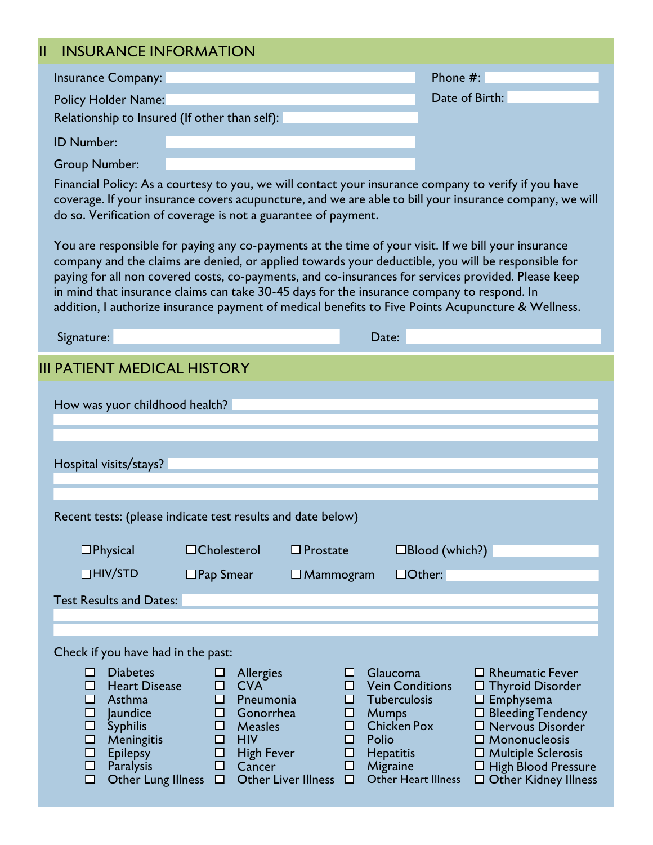| <b>INSURANCE INFORMATION</b>                                         |                                                                                                                                                                                                                                                                                                                                                                                                                                                                                                                      |                          |                |
|----------------------------------------------------------------------|----------------------------------------------------------------------------------------------------------------------------------------------------------------------------------------------------------------------------------------------------------------------------------------------------------------------------------------------------------------------------------------------------------------------------------------------------------------------------------------------------------------------|--------------------------|----------------|
| Insurance Company:                                                   |                                                                                                                                                                                                                                                                                                                                                                                                                                                                                                                      | Phone $#$ :              |                |
| Policy Holder Name:                                                  |                                                                                                                                                                                                                                                                                                                                                                                                                                                                                                                      |                          | Date of Birth: |
| Relationship to Insured (If other than self):                        |                                                                                                                                                                                                                                                                                                                                                                                                                                                                                                                      |                          |                |
| <b>ID Number:</b>                                                    |                                                                                                                                                                                                                                                                                                                                                                                                                                                                                                                      |                          |                |
| <b>Group Number:</b>                                                 |                                                                                                                                                                                                                                                                                                                                                                                                                                                                                                                      |                          |                |
|                                                                      | Financial Policy: As a courtesy to you, we will contact your insurance company to verify if you have<br>coverage. If your insurance covers acupuncture, and we are able to bill your insurance company, we will<br>do so. Verification of coverage is not a guarantee of payment.                                                                                                                                                                                                                                    |                          |                |
|                                                                      | You are responsible for paying any co-payments at the time of your visit. If we bill your insurance<br>company and the claims are denied, or applied towards your deductible, you will be responsible for<br>paying for all non covered costs, co-payments, and co-insurances for services provided. Please keep<br>in mind that insurance claims can take 30-45 days for the insurance company to respond. In<br>addition, I authorize insurance payment of medical benefits to Five Points Acupuncture & Wellness. |                          |                |
| Signature:                                                           |                                                                                                                                                                                                                                                                                                                                                                                                                                                                                                                      | Date:                    |                |
| <b>III PATIENT MEDICAL HISTORY</b><br>How was yuor childhood health? |                                                                                                                                                                                                                                                                                                                                                                                                                                                                                                                      |                          |                |
| Hospital visits/stays?                                               |                                                                                                                                                                                                                                                                                                                                                                                                                                                                                                                      |                          |                |
|                                                                      | Recent tests: (please indicate test results and date below)                                                                                                                                                                                                                                                                                                                                                                                                                                                          |                          |                |
| $\square$ Physical                                                   | $\Box$ Cholesterol<br>$\Box$ Prostate                                                                                                                                                                                                                                                                                                                                                                                                                                                                                | $\square$ Blood (which?) |                |
| $\Box$ HIV/STD                                                       | $\Box$ Pap Smear<br>$\square$ Mammogram                                                                                                                                                                                                                                                                                                                                                                                                                                                                              | $\Box$ Other:            |                |
| <b>Test Results and Dates:</b>                                       |                                                                                                                                                                                                                                                                                                                                                                                                                                                                                                                      |                          |                |
|                                                                      |                                                                                                                                                                                                                                                                                                                                                                                                                                                                                                                      |                          |                |
| Check if you have had in the past:                                   |                                                                                                                                                                                                                                                                                                                                                                                                                                                                                                                      |                          |                |

Other Lung Illness  $\;\Box\;$  Other Liver Illness  $\;\Box\;$  Other Heart Illness  $\;\Box$  Other Kidney Illness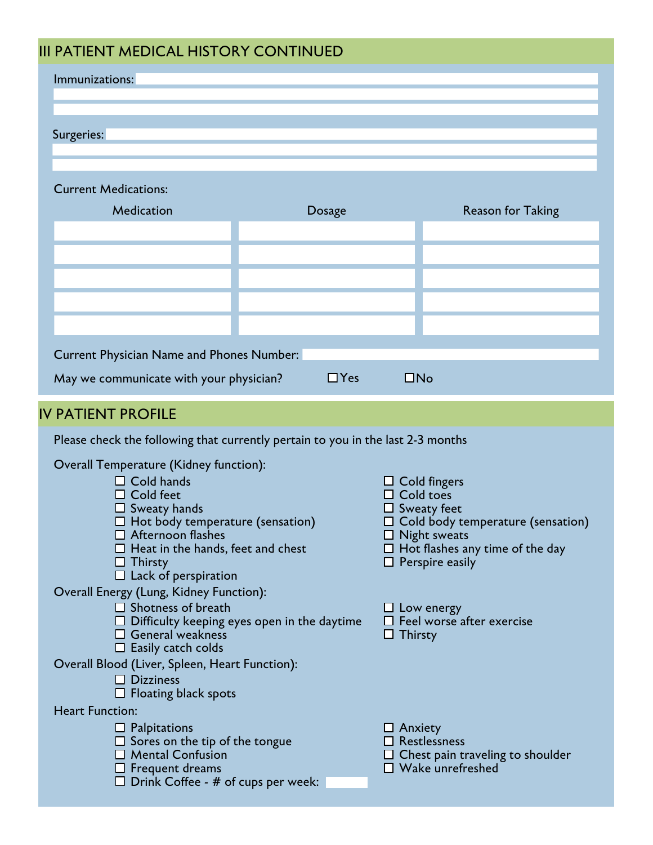### DATIENT MEDICAL HISTORY CONTINUED

| III PATIENT MEDICAL HISTORY CONTINUED                                           |            |                |                                                                    |  |
|---------------------------------------------------------------------------------|------------|----------------|--------------------------------------------------------------------|--|
| Immunizations:                                                                  |            |                |                                                                    |  |
|                                                                                 |            |                |                                                                    |  |
|                                                                                 |            |                |                                                                    |  |
| Surgeries:                                                                      |            |                |                                                                    |  |
|                                                                                 |            |                |                                                                    |  |
| <b>Current Medications:</b>                                                     |            |                |                                                                    |  |
| Medication                                                                      |            |                |                                                                    |  |
|                                                                                 | Dosage     |                | <b>Reason for Taking</b>                                           |  |
|                                                                                 |            |                |                                                                    |  |
|                                                                                 |            |                |                                                                    |  |
|                                                                                 |            |                |                                                                    |  |
|                                                                                 |            |                |                                                                    |  |
|                                                                                 |            |                |                                                                    |  |
|                                                                                 |            |                |                                                                    |  |
| Current Physician Name and Phones Number:                                       |            |                |                                                                    |  |
| May we communicate with your physician?                                         | $\Box$ Yes | $\Box$ No      |                                                                    |  |
|                                                                                 |            |                |                                                                    |  |
| <b>IV PATIENT PROFILE</b>                                                       |            |                |                                                                    |  |
| Please check the following that currently pertain to you in the last 2-3 months |            |                |                                                                    |  |
| Overall Temperature (Kidney function):                                          |            |                |                                                                    |  |
| $\Box$ Cold hands                                                               |            |                | $\Box$ Cold fingers                                                |  |
| $\Box$ Cold feet                                                                |            |                | Cold toes                                                          |  |
| $\Box$ Sweaty hands                                                             |            |                | $\Box$ Sweaty feet<br>$\Box$ Cold body temperature (sensation)     |  |
| $\Box$ Hot body temperature (sensation)<br>$\Box$ Afternoon flashes             |            |                | $\Box$ Night sweats                                                |  |
| $\Box$ Heat in the hands, feet and chest                                        |            |                | $\Box$ Hot flashes any time of the day                             |  |
| $\Box$ Thirsty<br>$\Box$ Lack of perspiration                                   |            |                | $\Box$ Perspire easily                                             |  |
| Overall Energy (Lung, Kidney Function):                                         |            |                |                                                                    |  |
| $\Box$ Shotness of breath                                                       |            |                | $\Box$ Low energy                                                  |  |
| $\Box$ Difficulty keeping eyes open in the daytime<br>$\Box$ General weakness   |            | $\Box$ Thirsty | $\Box$ Feel worse after exercise                                   |  |
| $\Box$ Easily catch colds                                                       |            |                |                                                                    |  |
| Overall Blood (Liver, Spleen, Heart Function):                                  |            |                |                                                                    |  |
| $\Box$ Dizziness                                                                |            |                |                                                                    |  |
| $\Box$ Floating black spots<br><b>Heart Function:</b>                           |            |                |                                                                    |  |
| $\Box$ Palpitations                                                             |            | $\Box$ Anxiety |                                                                    |  |
| $\Box$ Sores on the tip of the tongue                                           |            |                | $\Box$ Restlessness                                                |  |
| $\Box$ Mental Confusion                                                         |            |                | $\Box$ Chest pain traveling to shoulder<br>$\Box$ Wake unrefreshed |  |
| $\Box$ Frequent dreams                                                          |            |                |                                                                    |  |

 $\square$  Drink Coffee - # of cups per week: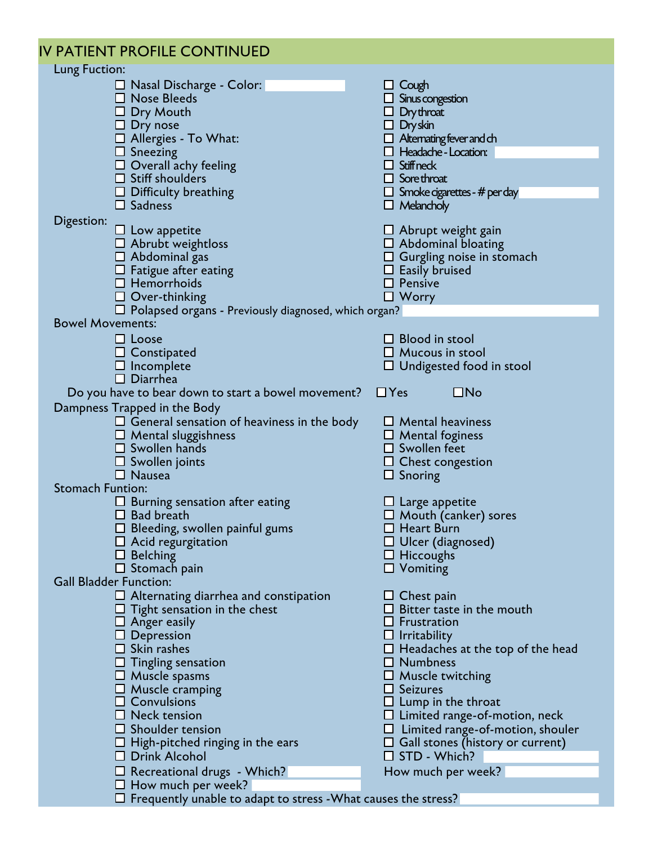| IV PATIENT PROFILE CONTINUED                                                                                                                                                                                                                                                                                                                                                                                             |                                                                                                                                                                                                                                                                                                                                                                                                                           |
|--------------------------------------------------------------------------------------------------------------------------------------------------------------------------------------------------------------------------------------------------------------------------------------------------------------------------------------------------------------------------------------------------------------------------|---------------------------------------------------------------------------------------------------------------------------------------------------------------------------------------------------------------------------------------------------------------------------------------------------------------------------------------------------------------------------------------------------------------------------|
| Lung Fuction:                                                                                                                                                                                                                                                                                                                                                                                                            |                                                                                                                                                                                                                                                                                                                                                                                                                           |
| $\Box$ Nasal Discharge - Color:<br>$\square$ Nose Bleeds<br>$\Box$ Dry Mouth<br>$\Box$ Dry nose<br>$\Box$ Allergies - To What:<br>$\Box$ Sneezing<br>$\Box$ Overall achy feeling<br>$\Box$ Stiff shoulders<br>$\Box$ Difficulty breathing<br>$\Box$ Sadness                                                                                                                                                              | $\Box$ Cough<br>$\Box$ Sinus congestion<br>$\Box$ Dry throat<br>$\Box$ Dryskin<br>$\Box$ Alternating fever and ch<br>$\Box$ Headache - Location:<br>$\Box$ Stiffneck<br>$\Box$ Sore throat<br>$\Box$ Smoke cigarettes - # per day<br>$\Box$ Melancholy                                                                                                                                                                    |
| Digestion:<br>$\Box$ Low appetite                                                                                                                                                                                                                                                                                                                                                                                        | $\Box$ Abrupt weight gain                                                                                                                                                                                                                                                                                                                                                                                                 |
| $\Box$ Abrubt weightloss<br>$\Box$ Abdominal gas<br>$\Box$ Fatigue after eating<br>$\Box$ Hemorrhoids<br>$\Box$ Over-thinking<br>$\Box$ Polapsed organs - Previously diagnosed, which organ?                                                                                                                                                                                                                             | $\Box$ Abdominal bloating<br>$\Box$ Gurgling noise in stomach<br>$\Box$ Easily bruised<br>$\Box$ Pensive<br>$\Box$ Worry                                                                                                                                                                                                                                                                                                  |
| <b>Bowel Movements:</b>                                                                                                                                                                                                                                                                                                                                                                                                  |                                                                                                                                                                                                                                                                                                                                                                                                                           |
| $\Box$ Loose<br>$\Box$ Constipated<br>$\square$ Incomplete<br>$\square$ Diarrhea                                                                                                                                                                                                                                                                                                                                         | $\Box$ Blood in stool<br>$\Box$ Mucous in stool<br>$\Box$ Undigested food in stool<br>$\square$ No<br>$\Box$ Yes                                                                                                                                                                                                                                                                                                          |
| Do you have to bear down to start a bowel movement?                                                                                                                                                                                                                                                                                                                                                                      |                                                                                                                                                                                                                                                                                                                                                                                                                           |
| Dampness Trapped in the Body<br>$\Box$ General sensation of heaviness in the body<br>$\Box$ Mental sluggishness<br>$\square$ Swollen hands<br>$\square$ Swollen joints<br>$\Box$ Nausea<br><b>Stomach Funtion:</b><br>$\Box$ Burning sensation after eating<br>$\Box$ Bad breath                                                                                                                                         | $\Box$ Mental heaviness<br>$\Box$ Mental foginess<br>$\square$ Swollen feet<br>$\Box$ Chest congestion<br>$\Box$ Snoring<br>$\Box$ Large appetite<br>$\Box$ Mouth (canker) sores                                                                                                                                                                                                                                          |
| $\Box$ Bleeding, swollen painful gums<br>$\Box$ Acid regurgitation                                                                                                                                                                                                                                                                                                                                                       | $\Box$ Heart Burn<br>$\Box$ Ulcer (diagnosed)                                                                                                                                                                                                                                                                                                                                                                             |
| $\Box$ Belching<br>$\Box$ Stomach pain<br><b>Gall Bladder Function:</b>                                                                                                                                                                                                                                                                                                                                                  | $\Box$ Hiccoughs<br>$\Box$ Vomiting                                                                                                                                                                                                                                                                                                                                                                                       |
| $\Box$ Alternating diarrhea and constipation<br>$\Box$ Tight sensation in the chest<br>$\Box$ Anger easily<br>$\Box$ Depression<br>$\Box$ Skin rashes<br>$\Box$ Tingling sensation<br>$\Box$ Muscle spasms<br>$\square$ Muscle cramping<br>$\Box$ Convulsions<br>$\Box$ Neck tension<br>$\Box$ Shoulder tension<br>$\Box$ High-pitched ringing in the ears<br>$\Box$ Drink Alcohol<br>$\Box$ Recreational drugs - Which? | $\Box$ Chest pain<br>$\Box$ Bitter taste in the mouth<br>$\Box$ Frustration<br>$\Box$ Irritability<br>$\Box$ Headaches at the top of the head<br>$\Box$ Numbness<br>$\Box$ Muscle twitching<br>$\Box$ Seizures<br>$\Box$ Lump in the throat<br>$\Box$ Limited range-of-motion, neck<br>$\Box$ Limited range-of-motion, shouler<br>$\Box$ Gall stones (history or current)<br>$\square$ STD - Which?<br>How much per week? |
| $\Box$ How much per week?                                                                                                                                                                                                                                                                                                                                                                                                |                                                                                                                                                                                                                                                                                                                                                                                                                           |
| $\square$ Frequently unable to adapt to stress - What causes the stress?                                                                                                                                                                                                                                                                                                                                                 |                                                                                                                                                                                                                                                                                                                                                                                                                           |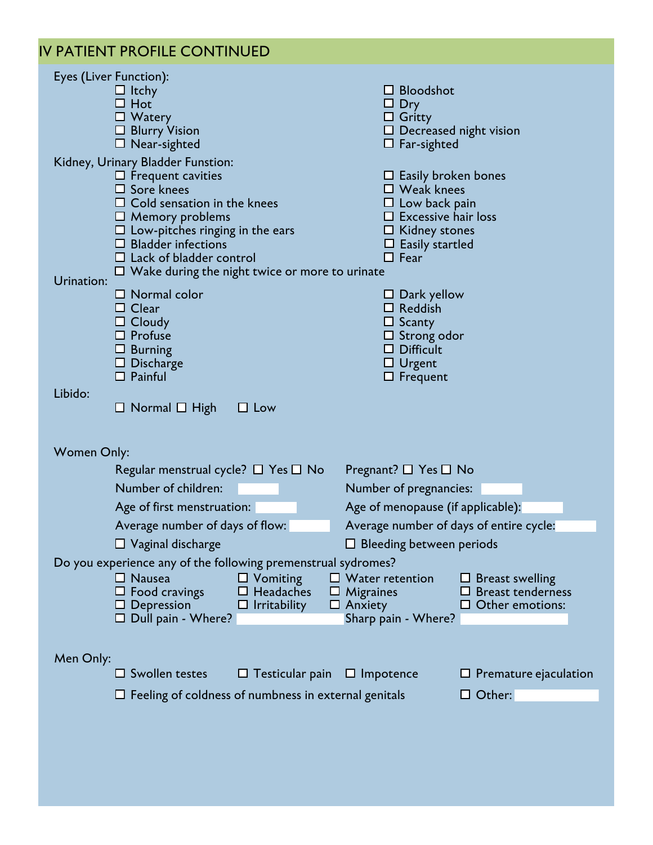#### IV PATIENT PROFILE CONTINUED

| Eyes (Liver Function):                                              |                                                             |                                                    |
|---------------------------------------------------------------------|-------------------------------------------------------------|----------------------------------------------------|
| $\Box$ Itchy                                                        |                                                             | $\Box$ Bloodshot                                   |
| $\Box$ Hot<br>$\Box$ Watery                                         |                                                             | Dry                                                |
| $\Box$ Blurry Vision                                                |                                                             | $\Box$ Gritty<br>$\Box$ Decreased night vision     |
| $\Box$ Near-sighted                                                 |                                                             | $\Box$ Far-sighted                                 |
| Kidney, Urinary Bladder Funstion:                                   |                                                             |                                                    |
| $\Box$ Frequent cavities                                            |                                                             | $\Box$ Easily broken bones                         |
| $\Box$ Sore knees                                                   |                                                             | $\Box$ Weak knees                                  |
| $\Box$ Cold sensation in the knees<br>$\Box$ Memory problems        |                                                             | $\Box$ Low back pain<br>$\Box$ Excessive hair loss |
| $\Box$ Low-pitches ringing in the ears                              |                                                             | $\Box$ Kidney stones                               |
| $\Box$ Bladder infections                                           |                                                             | $\Box$ Easily startled                             |
| $\Box$ Lack of bladder control                                      |                                                             | $\Box$ Fear                                        |
| Urination:                                                          | $\Box$ Wake during the night twice or more to urinate       |                                                    |
| $\Box$ Normal color                                                 |                                                             | $\Box$ Dark yellow                                 |
| $\Box$ Clear                                                        |                                                             | $\Box$ Reddish                                     |
| $\Box$ Cloudy<br>$\Box$ Profuse                                     |                                                             | $\Box$ Scanty                                      |
| $\Box$ Burning                                                      |                                                             | $\Box$ Strong odor<br>$\square$ Difficult          |
| $\Box$ Discharge                                                    |                                                             | $\Box$ Urgent                                      |
| $\Box$ Painful                                                      |                                                             | $\Box$ Frequent                                    |
| Libido:                                                             |                                                             |                                                    |
| $\Box$ Normal $\Box$ High                                           | $\Box$ Low                                                  |                                                    |
|                                                                     |                                                             |                                                    |
|                                                                     |                                                             |                                                    |
|                                                                     |                                                             |                                                    |
| <b>Women Only:</b><br>Regular menstrual cycle? $\Box$ Yes $\Box$ No |                                                             | Pregnant? $\square$ Yes $\square$ No               |
| Number of children:                                                 |                                                             | Number of pregnancies:                             |
| Age of first menstruation:                                          |                                                             | Age of menopause (if applicable):                  |
| Average number of days of flow:                                     |                                                             | Average number of days of entire cycle:            |
| $\Box$ Vaginal discharge                                            |                                                             | $\Box$ Bleeding between periods                    |
| Do you experience any of the following premenstrual sydromes?       |                                                             |                                                    |
| $\Box$ Nausea                                                       | $\Box$ Vomiting                                             | $\Box$ Water retention<br><b>Breast swelling</b>   |
| $\Box$ Food cravings                                                | <b>Headaches</b><br>Migraines<br>ப                          | <b>Breast tenderness</b><br>ப                      |
| $\Box$ Depression                                                   | $\Box$ Irritability<br>$\Box$ Anxiety                       | $\Box$ Other emotions:                             |
| $\Box$ Dull pain - Where?                                           |                                                             | Sharp pain - Where?                                |
|                                                                     |                                                             |                                                    |
| Men Only:                                                           |                                                             |                                                    |
| $\square$ Swollen testes                                            | $\Box$ Testicular pain                                      | $\Box$ Premature ejaculation<br>$\Box$ Impotence   |
|                                                                     | $\Box$ Feeling of coldness of numbness in external genitals | $\Box$ Other:                                      |
|                                                                     |                                                             |                                                    |
|                                                                     |                                                             |                                                    |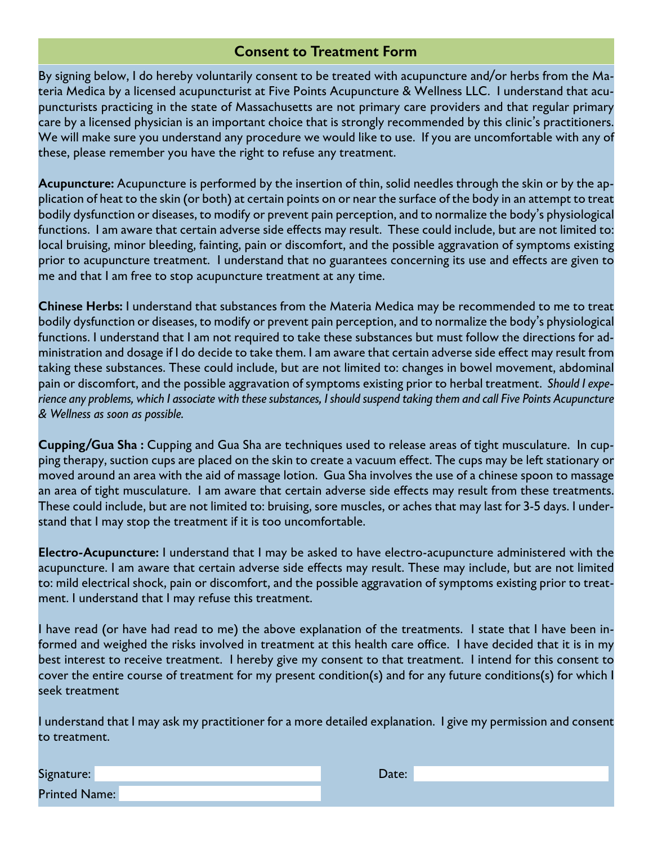## **Consent to Treatment Form Consent to Treatment Form**

By signing below, I do hereby voluntarily consent to be treated with acupuncture and/or herbs from the Materia Medica by a licensed acupuncturist at Five Points Acupuncture & Wellness LLC. I understand that acupuncturists practicing in the state of Massachusetts are not primary care providers and that regular primary care by a licensed physician is an important choice that is strongly recommended by this clinic's practitioners. We will make sure you understand any procedure we would like to use. If you are uncomfortable with any of these, please remember you have the right to refuse any treatment.

**Acupuncture:** Acupuncture is performed by the insertion of thin, solid needles through the skin or by the application of heat to the skin (or both) at certain points on or near the surface of the body in an attempt to treat bodily dysfunction or diseases, to modify or prevent pain perception, and to normalize the body's physiological functions. I am aware that certain adverse side effects may result. These could include, but are not limited to: local bruising, minor bleeding, fainting, pain or discomfort, and the possible aggravation of symptoms existing prior to acupuncture treatment. I understand that no guarantees concerning its use and effects are given to me and that I am free to stop acupuncture treatment at any time.

**Chinese Herbs:** I understand that substances from the Materia Medica may be recommended to me to treat bodily dysfunction or diseases, to modify or prevent pain perception, and to normalize the body's physiological functions. I understand that I am not required to take these substances but must follow the directions for administration and dosage if I do decide to take them. I am aware that certain adverse side effect may result from taking these substances. These could include, but are not limited to: changes in bowel movement, abdominal pain or discomfort, and the possible aggravation of symptoms existing prior to herbal treatment. *Should I experience any problems, which I associate with these substances, I should suspend taking them and call Five Points Acupuncture & Wellness as soon as possible.*

**Cupping/Gua Sha :** Cupping and Gua Sha are techniques used to release areas of tight musculature. In cupping therapy, suction cups are placed on the skin to create a vacuum effect. The cups may be left stationary or moved around an area with the aid of massage lotion. Gua Sha involves the use of a chinese spoon to massage an area of tight musculature. I am aware that certain adverse side effects may result from these treatments. These could include, but are not limited to: bruising, sore muscles, or aches that may last for 3-5 days. I understand that I may stop the treatment if it is too uncomfortable.

**Electro-Acupuncture:** I understand that I may be asked to have electro-acupuncture administered with the acupuncture. I am aware that certain adverse side effects may result. These may include, but are not limited to: mild electrical shock, pain or discomfort, and the possible aggravation of symptoms existing prior to treatment. I understand that I may refuse this treatment.

I have read (or have had read to me) the above explanation of the treatments. I state that I have been informed and weighed the risks involved in treatment at this health care office. I have decided that it is in my best interest to receive treatment. I hereby give my consent to that treatment. I intend for this consent to cover the entire course of treatment for my present condition(s) and for any future conditions(s) for which I seek treatment

I understand that I may ask my practitioner for a more detailed explanation. I give my permission and consent to treatment.

| Signature:           | )ate: |  |
|----------------------|-------|--|
| <b>Printed Name:</b> |       |  |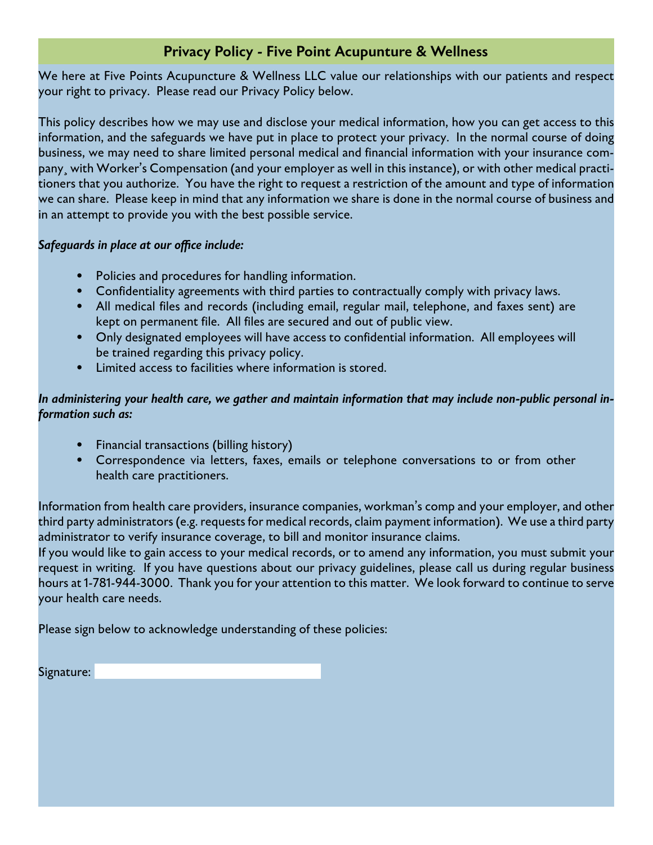## **Privacy Policy - Five Point Acupunture & Wellness**

We here at Five Points Acupuncture & Wellness LLC value our relationships with our patients and respect your right to privacy. Please read our Privacy Policy below.

This policy describes how we may use and disclose your medical information, how you can get access to this information, and the safeguards we have put in place to protect your privacy. In the normal course of doing business, we may need to share limited personal medical and financial information with your insurance company¸ with Worker's Compensation (and your employer as well in this instance), or with other medical practitioners that you authorize. You have the right to request a restriction of the amount and type of information we can share. Please keep in mind that any information we share is done in the normal course of business and in an attempt to provide you with the best possible service.

#### *Safeguards in place at our office include:*

- Policies and procedures for handling information.
- Confidentiality agreements with third parties to contractually comply with privacy laws.
- All medical files and records (including email, regular mail, telephone, and faxes sent) are kept on permanent file. All files are secured and out of public view.
- Only designated employees will have access to confidential information. All employees will be trained regarding this privacy policy.
- Limited access to facilities where information is stored.

#### *In administering your health care, we gather and maintain information that may include non-public personal information such as:*

- Financial transactions (billing history)
- Correspondence via letters, faxes, emails or telephone conversations to or from other health care practitioners.

Information from health care providers, insurance companies, workman's comp and your employer, and other third party administrators (e.g. requests for medical records, claim payment information). We use a third party administrator to verify insurance coverage, to bill and monitor insurance claims.

If you would like to gain access to your medical records, or to amend any information, you must submit your request in writing. If you have questions about our privacy guidelines, please call us during regular business hours at 1-781-944-3000. Thank you for your attention to this matter. We look forward to continue to serve your health care needs.

Please sign below to acknowledge understanding of these policies:

Signature: